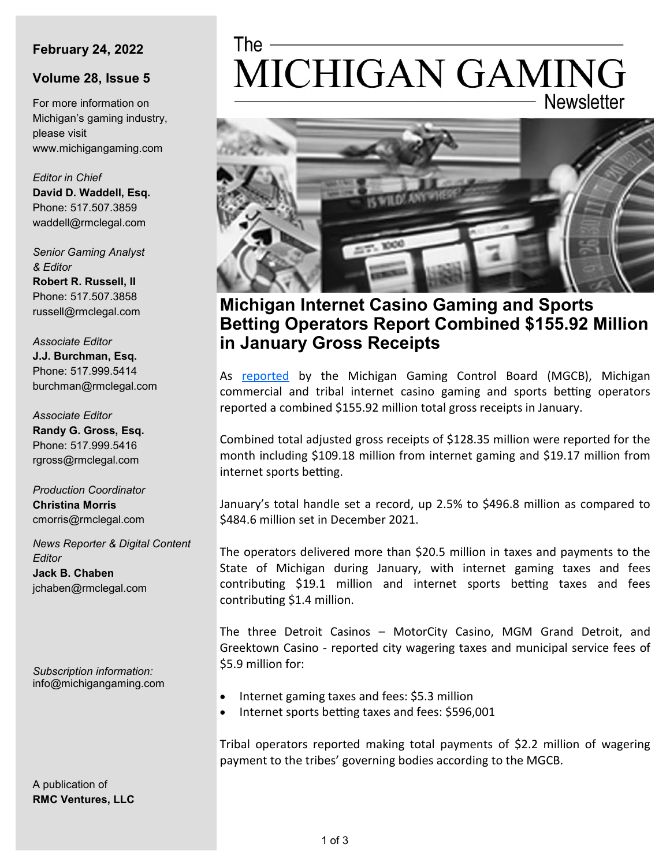### **February 24, 2022**

#### **Volume 28, Issue 5**

For more information on Michigan's gaming industry, please visit www.michigangaming.com

*Editor in Chief* **David D. Waddell, Esq.** Phone: 517.507.3859 waddell@rmclegal.com

*Senior Gaming Analyst & Editor* **Robert R. Russell, II**

Phone: 517.507.3858 russell@rmclegal.com

*Associate Editor* **J.J. Burchman, Esq.** Phone: 517.999.5414 burchman@rmclegal.com

*Associate Editor* **Randy G. Gross, Esq.** Phone: 517.999.5416 rgross@rmclegal.com

*Production Coordinator* **Christina Morris** cmorris@rmclegal.com

*News Reporter & Digital Content Editor* **Jack B. Chaben** jchaben@rmclegal.com

*Subscription information:* info@michigangaming.com

A publication of **RMC Ventures, LLC**

# The  $-$ MICHIGAN GAMING **Newsletter**



# **Michigan Internet Casino Gaming and Sports Betting Operators Report Combined \$155.92 Million in January Gross Receipts**

As [reported](https://content.govdelivery.com/accounts/MIGCB/bulletins/30ac5c1) by the Michigan Gaming Control Board (MGCB), Michigan commercial and tribal internet casino gaming and sports betting operators reported a combined \$155.92 million total gross receipts in January.

Combined total adjusted gross receipts of \$128.35 million were reported for the month including \$109.18 million from internet gaming and \$19.17 million from internet sports betting.

January's total handle set a record, up 2.5% to \$496.8 million as compared to \$484.6 million set in December 2021.

The operators delivered more than \$20.5 million in taxes and payments to the State of Michigan during January, with internet gaming taxes and fees contributing \$19.1 million and internet sports betting taxes and fees contributing \$1.4 million.

The three Detroit Casinos – MotorCity Casino, MGM Grand Detroit, and Greektown Casino - reported city wagering taxes and municipal service fees of \$5.9 million for:

- Internet gaming taxes and fees: \$5.3 million
- Internet sports betting taxes and fees: \$596,001

Tribal operators reported making total payments of \$2.2 million of wagering payment to the tribes' governing bodies according to the MGCB.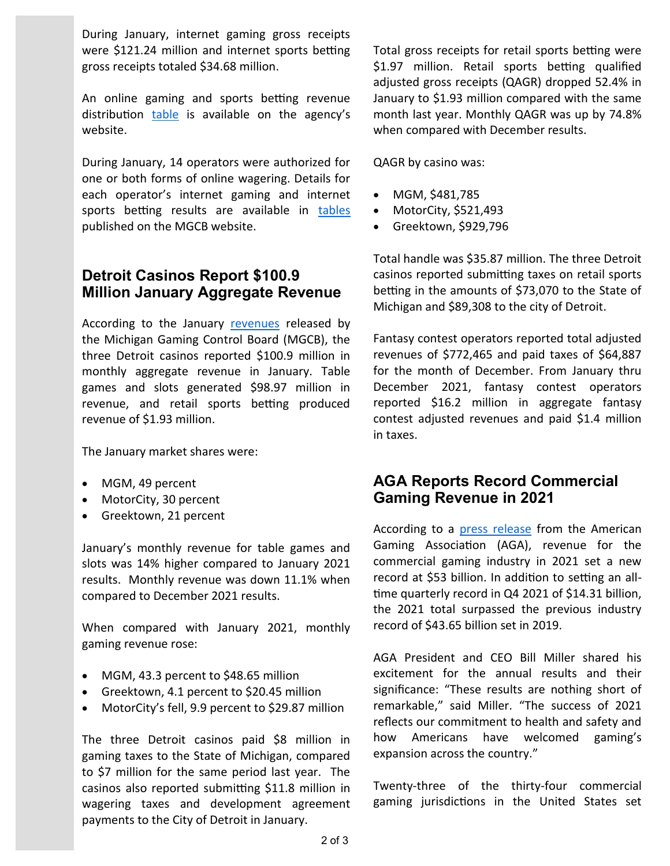During January, internet gaming gross receipts were \$121.24 million and internet sports betting gross receipts totaled \$34.68 million.

An online gaming and sports betting revenue distribution [table](https://www.michigan.gov/documents/mgcb/iGaming_Sports_Betting_Fantasy_Sports_tax_revenue_distribution_chart_715611_7.pdf) is available on the agency's website.

During January, 14 operators were authorized for one or both forms of online wagering. Details for each operator's internet gaming and internet sports betting results are available in [tables](https://www.michigan.gov/mgcb/0,4620,7-351-79127_82898-244408--,00.html) published on the MGCB website.

## **Detroit Casinos Report \$100.9 Million January Aggregate Revenue**

According to the January [revenues](https://content.govdelivery.com/accounts/MIGCB/bulletins/30a878e) released by the Michigan Gaming Control Board (MGCB), the three Detroit casinos reported \$100.9 million in monthly aggregate revenue in January. Table games and slots generated \$98.97 million in revenue, and retail sports betting produced revenue of \$1.93 million.

The January market shares were:

- MGM, 49 percent
- MotorCity, 30 percent
- Greektown, 21 percent

January's monthly revenue for table games and slots was 14% higher compared to January 2021 results. Monthly revenue was down 11.1% when compared to December 2021 results.

When compared with January 2021, monthly gaming revenue rose:

- MGM, 43.3 percent to \$48.65 million
- Greektown, 4.1 percent to \$20.45 million
- MotorCity's fell, 9.9 percent to \$29.87 million

The three Detroit casinos paid \$8 million in gaming taxes to the State of Michigan, compared to \$7 million for the same period last year. The casinos also reported submitting \$11.8 million in wagering taxes and development agreement payments to the City of Detroit in January.

Total gross receipts for retail sports betting were \$1.97 million. Retail sports betting qualified adjusted gross receipts (QAGR) dropped 52.4% in January to \$1.93 million compared with the same month last year. Monthly QAGR was up by 74.8% when compared with December results.

QAGR by casino was:

- MGM, \$481,785
- MotorCity, \$521,493
- Greektown, \$929,796

Total handle was \$35.87 million. The three Detroit casinos reported submitting taxes on retail sports betting in the amounts of \$73,070 to the State of Michigan and \$89,308 to the city of Detroit.

Fantasy contest operators reported total adjusted revenues of \$772,465 and paid taxes of \$64,887 for the month of December. From January thru December 2021, fantasy contest operators reported \$16.2 million in aggregate fantasy contest adjusted revenues and paid \$1.4 million in taxes.

## **AGA Reports Record Commercial Gaming Revenue in 2021**

According to a [press release](https://finance.yahoo.com/news/2021-commercial-gaming-revenue-shatters-163000733.html#:~:text=All%2DTime%20High%20Marks%20%2423,AGA)%20Commercial%20Gaming%20Revenue%20Tracker.) from the American Gaming Association (AGA), revenue for the commercial gaming industry in 2021 set a new record at \$53 billion. In addition to setting an alltime quarterly record in Q4 2021 of \$14.31 billion, the 2021 total surpassed the previous industry record of \$43.65 billion set in 2019.

AGA President and CEO Bill Miller shared his excitement for the annual results and their significance: "These results are nothing short of remarkable," said Miller. "The success of 2021 reflects our commitment to health and safety and how Americans have welcomed gaming's expansion across the country."

Twenty-three of the thirty-four commercial gaming jurisdictions in the United States set